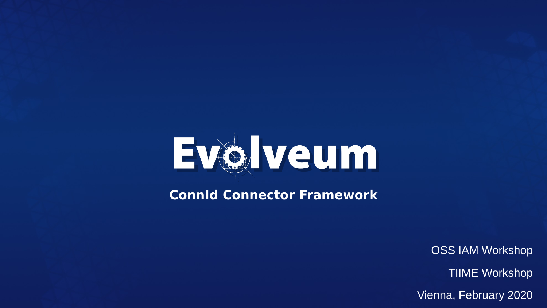

**ConnId Connector Framework**

OSS IAM Workshop

TIIME Workshop

Vienna, February 2020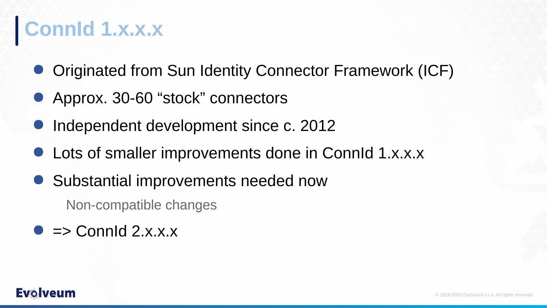## **ConnId 1.x.x.x**

- Originated from Sun Identity Connector Framework (ICF)
- Approx. 30-60 "stock" connectors
- Independent development since c. 2012
- Lots of smaller improvements done in ConnId 1.x.x.x
- Substantial improvements needed now

Non-compatible changes

 $\bullet$  => Connid 2.x.x.x

#### **Evo** veum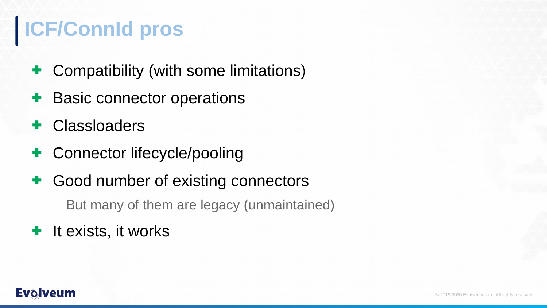## **ICF/ConnId pros**

- ✚ Compatibility (with some limitations)
- **<sup>■</sup>** Basic connector operations
- ✚ Classloaders
- ✚ Connector lifecycle/pooling
- **<sup>■</sup>** Good number of existing connectors

But many of them are legacy (unmaintained)

## **<sup>■</sup>** It exists, it works

#### **Evolveum**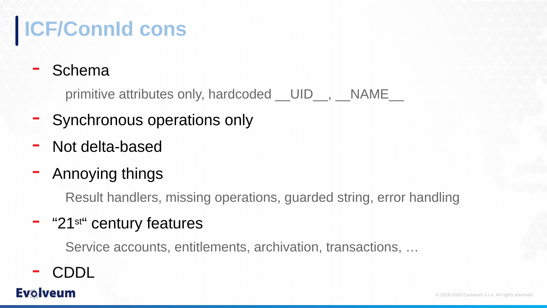# **ICF/ConnId cons**

### **Schema**

primitive attributes only, hardcoded UID\_, NAME

- ━ Synchronous operations only
- ━ Not delta-based
- ━ Annoying things

Result handlers, missing operations, guarded string, error handling

### ━ "21st" century features

Service accounts, entitlements, archivation, transactions, …

━ CDDL

### **Evolveum**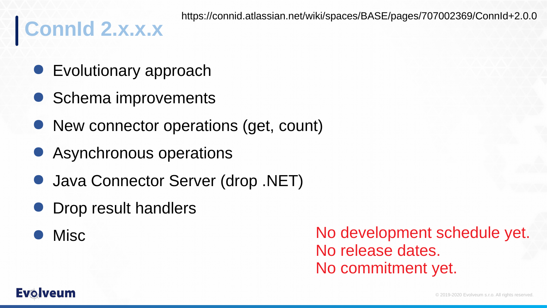# **ConnId 2.x.x.x**

- Evolutionary approach
- Schema improvements
- New connector operations (get, count)
- Asynchronous operations
- Java Connector Server (drop .NET)
- Drop result handlers
- **Misc**

No development schedule yet. No release dates. No commitment yet.

#### **Evolveum**

© 2019-2020 Evolveum s.r.o. All rights reserved.